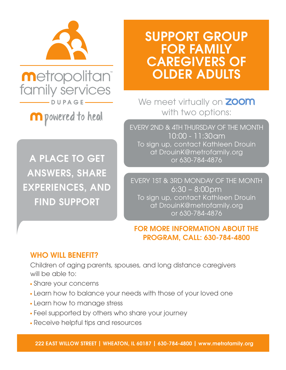

**metropolitan** family services  $-DUPAG$ 

**m** powered to heal

A PLACE TO GET ANSWERS, SHARE EXPERIENCES, AND FIND SUPPORT

# SUPPORT GROUP FOR FAMILY CAREGIVERS OF OLDER ADULTS

We meet virtually on **ZOOM** with two options:

EVERY 2ND & 4TH THURSDAY OF THE MONTH 10:00 - 11:30am To sign up, contact Kathleen Drouin at DrouinK@metrofamily.org or 630-784-4876

EVERY 1ST & 3RD MONDAY OF THE MONTH 6:30 – 8:00pm To sign up, contact Kathleen Drouin at DrouinK@metrofamily.org or 630-784-4876

### FOR MORE INFORMATION ABOUT THE PROGRAM, CALL: 630-784-4800

### WHO WILL BENEFIT?

Children of aging parents, spouses, and long distance caregivers will be able to:

- Share your concerns
- Learn how to balance your needs with those of your loved one
- Learn how to manage stress
- Feel supported by others who share your journey
- Receive helpful tips and resources